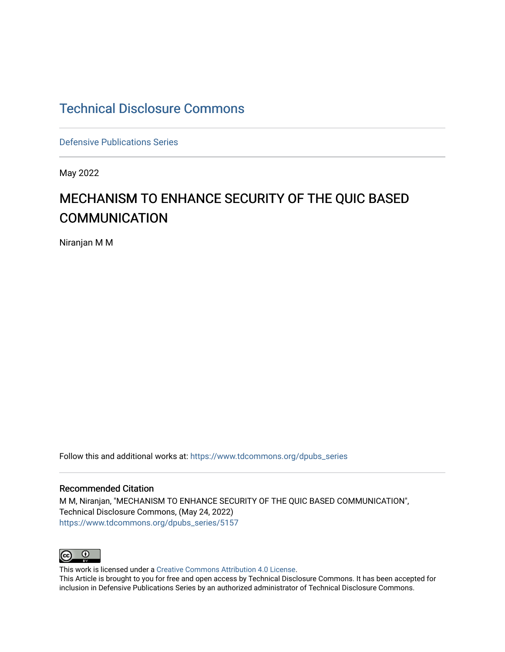### [Technical Disclosure Commons](https://www.tdcommons.org/)

[Defensive Publications Series](https://www.tdcommons.org/dpubs_series)

May 2022

## MECHANISM TO ENHANCE SECURITY OF THE QUIC BASED **COMMUNICATION**

Niranjan M M

Follow this and additional works at: [https://www.tdcommons.org/dpubs\\_series](https://www.tdcommons.org/dpubs_series?utm_source=www.tdcommons.org%2Fdpubs_series%2F5157&utm_medium=PDF&utm_campaign=PDFCoverPages) 

#### Recommended Citation

M M, Niranjan, "MECHANISM TO ENHANCE SECURITY OF THE QUIC BASED COMMUNICATION", Technical Disclosure Commons, (May 24, 2022) [https://www.tdcommons.org/dpubs\\_series/5157](https://www.tdcommons.org/dpubs_series/5157?utm_source=www.tdcommons.org%2Fdpubs_series%2F5157&utm_medium=PDF&utm_campaign=PDFCoverPages)



This work is licensed under a [Creative Commons Attribution 4.0 License](http://creativecommons.org/licenses/by/4.0/deed.en_US).

This Article is brought to you for free and open access by Technical Disclosure Commons. It has been accepted for inclusion in Defensive Publications Series by an authorized administrator of Technical Disclosure Commons.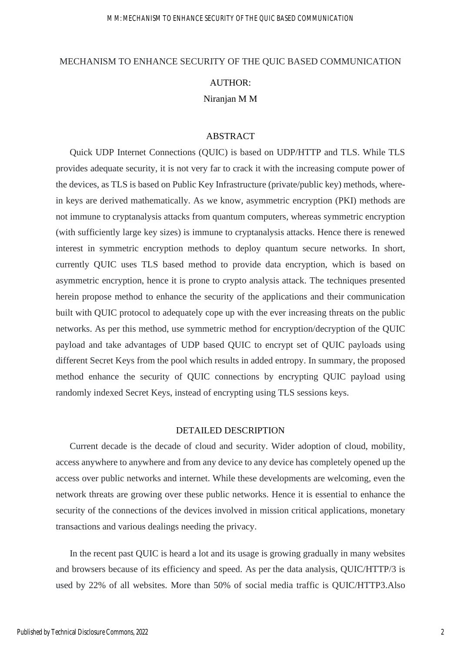# MECHANISM TO ENHANCE SECURITY OF THE QUIC BASED COMMUNICATION AUTHOR: Niranjan M M

#### ABSTRACT

Quick UDP Internet Connections (QUIC) is based on UDP/HTTP and TLS. While TLS provides adequate security, it is not very far to crack it with the increasing compute power of the devices, as TLS is based on Public Key Infrastructure (private/public key) methods, wherein keys are derived mathematically. As we know, asymmetric encryption (PKI) methods are not immune to cryptanalysis attacks from quantum computers, whereas symmetric encryption (with sufficiently large key sizes) is immune to cryptanalysis attacks. Hence there is renewed interest in symmetric encryption methods to deploy quantum secure networks. In short, currently QUIC uses TLS based method to provide data encryption, which is based on asymmetric encryption, hence it is prone to crypto analysis attack. The techniques presented herein propose method to enhance the security of the applications and their communication built with QUIC protocol to adequately cope up with the ever increasing threats on the public networks. As per this method, use symmetric method for encryption/decryption of the QUIC payload and take advantages of UDP based QUIC to encrypt set of QUIC payloads using different Secret Keys from the pool which results in added entropy. In summary, the proposed method enhance the security of QUIC connections by encrypting QUIC payload using randomly indexed Secret Keys, instead of encrypting using TLS sessions keys.

#### DETAILED DESCRIPTION

Current decade is the decade of cloud and security. Wider adoption of cloud, mobility, access anywhere to anywhere and from any device to any device has completely opened up the access over public networks and internet. While these developments are welcoming, even the network threats are growing over these public networks. Hence it is essential to enhance the security of the connections of the devices involved in mission critical applications, monetary transactions and various dealings needing the privacy.

In the recent past QUIC is heard a lot and its usage is growing gradually in many websites and browsers because of its efficiency and speed. As per the data analysis, QUIC/HTTP/3 is used by 22% of all websites. More than 50% of social media traffic is QUIC/HTTP3.Also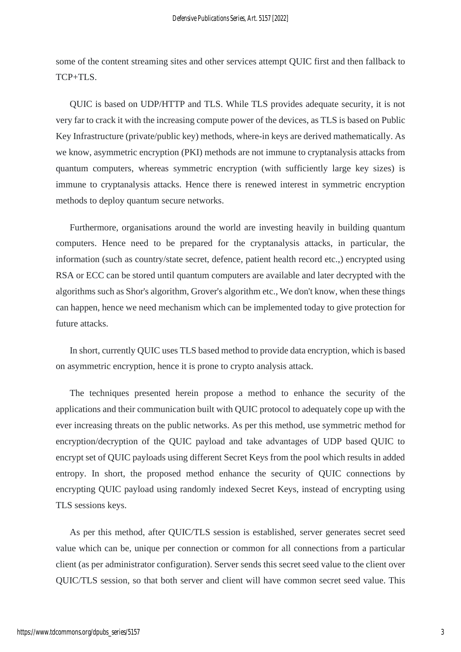some of the content streaming sites and other services attempt QUIC first and then fallback to TCP+TLS.

QUIC is based on UDP/HTTP and TLS. While TLS provides adequate security, it is not very far to crack it with the increasing compute power of the devices, as TLS is based on Public Key Infrastructure (private/public key) methods, where-in keys are derived mathematically. As we know, asymmetric encryption (PKI) methods are not immune to cryptanalysis attacks from quantum computers, whereas symmetric encryption (with sufficiently large key sizes) is immune to cryptanalysis attacks. Hence there is renewed interest in symmetric encryption methods to deploy quantum secure networks.

Furthermore, organisations around the world are investing heavily in building quantum computers. Hence need to be prepared for the cryptanalysis attacks, in particular, the information (such as country/state secret, defence, patient health record etc.,) encrypted using RSA or ECC can be stored until quantum computers are available and later decrypted with the algorithms such as Shor's algorithm, Grover's algorithm etc., We don't know, when these things can happen, hence we need mechanism which can be implemented today to give protection for future attacks.

In short, currently QUIC uses TLS based method to provide data encryption, which is based on asymmetric encryption, hence it is prone to crypto analysis attack.

The techniques presented herein propose a method to enhance the security of the applications and their communication built with QUIC protocol to adequately cope up with the ever increasing threats on the public networks. As per this method, use symmetric method for encryption/decryption of the QUIC payload and take advantages of UDP based QUIC to encrypt set of QUIC payloads using different Secret Keys from the pool which results in added entropy. In short, the proposed method enhance the security of QUIC connections by encrypting QUIC payload using randomly indexed Secret Keys, instead of encrypting using TLS sessions keys.

As per this method, after QUIC/TLS session is established, server generates secret seed value which can be, unique per connection or common for all connections from a particular client (as per administrator configuration). Server sends this secret seed value to the client over QUIC/TLS session, so that both server and client will have common secret seed value. This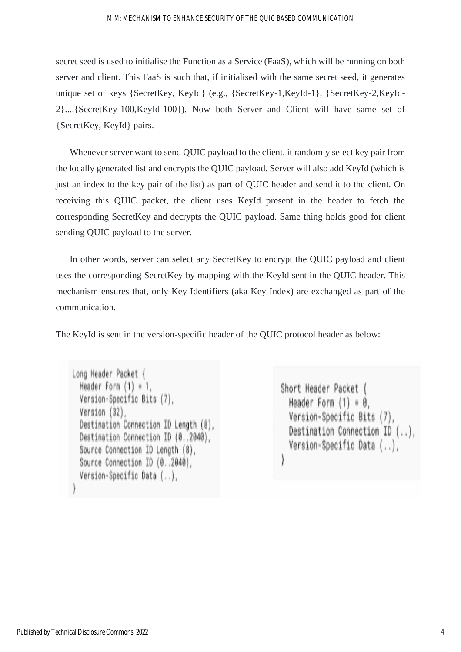#### M M: MECHANISM TO ENHANCE SECURITY OF THE QUIC BASED COMMUNICATION

secret seed is used to initialise the Function as a Service (FaaS), which will be running on both server and client. This FaaS is such that, if initialised with the same secret seed, it generates unique set of keys {SecretKey, KeyId} (e.g., {SecretKey-1,KeyId-1}, {SecretKey-2,KeyId-2}....{SecretKey-100,KeyId-100}). Now both Server and Client will have same set of {SecretKey, KeyId} pairs.

Whenever server want to send QUIC payload to the client, it randomly select key pair from the locally generated list and encrypts the QUIC payload. Server will also add KeyId (which is just an index to the key pair of the list) as part of QUIC header and send it to the client. On receiving this QUIC packet, the client uses KeyId present in the header to fetch the corresponding SecretKey and decrypts the QUIC payload. Same thing holds good for client sending QUIC payload to the server.

In other words, server can select any SecretKey to encrypt the QUIC payload and client uses the corresponding SecretKey by mapping with the KeyId sent in the QUIC header. This mechanism ensures that, only Key Identifiers (aka Key Index) are exchanged as part of the communication.

The KeyId is sent in the version-specific header of the QUIC protocol header as below:

```
Long Header Packet {
Header Form (1) = 1.
Version-Specific Bits (7),
Version (32),
Destination Connection ID Length (8),
Destination Connection ID (0..2040),
Source Connection ID Length (8),
Source Connection ID (0..2040),
Version-Specific Data (..),
```
Short Header Packet { Header Form  $(1) = 0$ . Version-Specific Bits (7), Destination Connection ID (..), Version-Specific Data (..),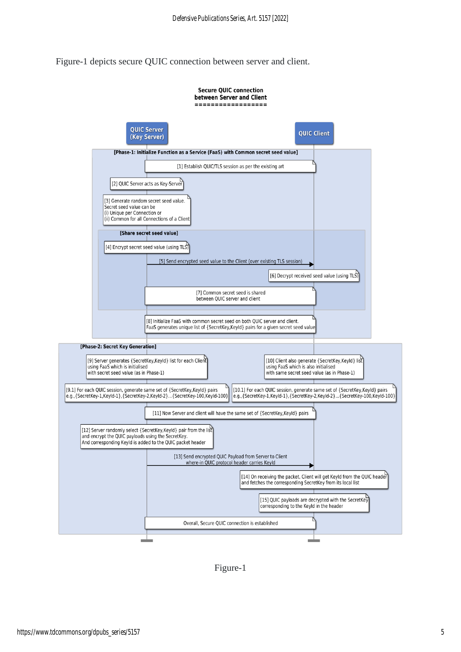Figure-1 depicts secure QUIC connection between server and client.



Figure-1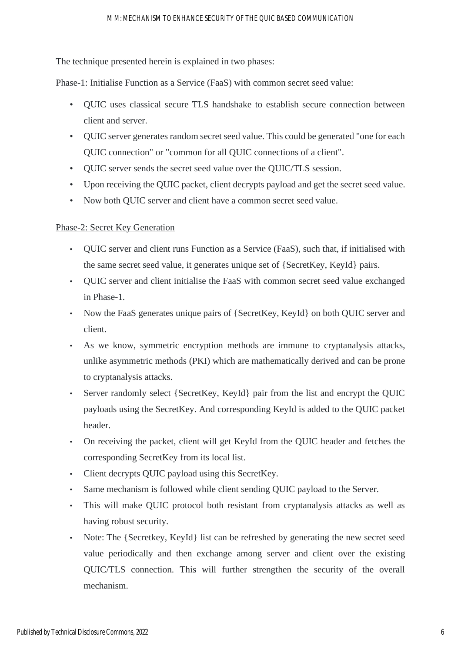#### M M: MECHANISM TO ENHANCE SECURITY OF THE QUIC BASED COMMUNICATION

The technique presented herein is explained in two phases:

Phase-1: Initialise Function as a Service (FaaS) with common secret seed value:

- QUIC uses classical secure TLS handshake to establish secure connection between client and server.
- QUIC server generates random secret seed value. This could be generated "one for each QUIC connection" or "common for all QUIC connections of a client".
- QUIC server sends the secret seed value over the QUIC/TLS session.
- Upon receiving the QUIC packet, client decrypts payload and get the secret seed value.
- Now both QUIC server and client have a common secret seed value.

#### Phase-2: Secret Key Generation

- QUIC server and client runs Function as a Service (FaaS), such that, if initialised with the same secret seed value, it generates unique set of {SecretKey, KeyId} pairs.
- QUIC server and client initialise the FaaS with common secret seed value exchanged in Phase-1.
- Now the FaaS generates unique pairs of {SecretKey, KeyId} on both QUIC server and client.
- As we know, symmetric encryption methods are immune to cryptanalysis attacks, unlike asymmetric methods (PKI) which are mathematically derived and can be prone to cryptanalysis attacks.
- Server randomly select {SecretKey, KeyId} pair from the list and encrypt the QUIC payloads using the SecretKey. And corresponding KeyId is added to the QUIC packet header.
- On receiving the packet, client will get KeyId from the QUIC header and fetches the corresponding SecretKey from its local list.
- Client decrypts QUIC payload using this SecretKey.
- Same mechanism is followed while client sending QUIC payload to the Server.
- This will make QUIC protocol both resistant from cryptanalysis attacks as well as having robust security.
- Note: The {Secretkey, KeyId} list can be refreshed by generating the new secret seed value periodically and then exchange among server and client over the existing QUIC/TLS connection. This will further strengthen the security of the overall mechanism.